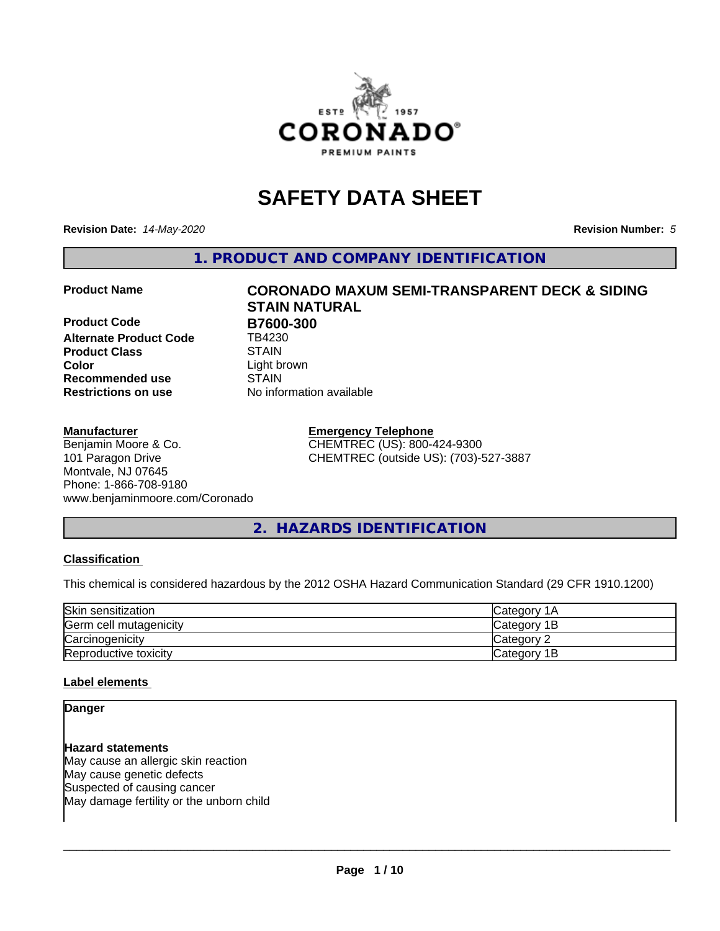

# **SAFETY DATA SHEET**

**Revision Date:** *14-May-2020* **Revision Number:** *5*

**1. PRODUCT AND COMPANY IDENTIFICATION**

**Product Code B7600-300**<br> **Alternate Product Code B4230 Alternate Product Code Product Class STAIN STAIN**<br> **Color** Light b **Recommended use STAIN Restrictions on use** No information available

#### **Manufacturer**

Benjamin Moore & Co. 101 Paragon Drive Montvale, NJ 07645 Phone: 1-866-708-9180 www.benjaminmoore.com/Coronado

# **Product Name CORONADO MAXUM SEMI-TRANSPARENT DECK & SIDING STAIN NATURAL** Light brown

**Emergency Telephone** CHEMTREC (US): 800-424-9300 CHEMTREC (outside US): (703)-527-3887

# **2. HAZARDS IDENTIFICATION**

#### **Classification**

This chemical is considered hazardous by the 2012 OSHA Hazard Communication Standard (29 CFR 1910.1200)

| Skin sensitization     | Category 1A  |
|------------------------|--------------|
| Germ cell mutagenicity | Category 1B  |
| Carcinogenicity        | Category 2   |
| Reproductive toxicity  | lCategory 1B |

#### **Label elements**

#### **Danger**

**Hazard statements** May cause an allergic skin reaction May cause genetic defects Suspected of causing cancer May damage fertility or the unborn child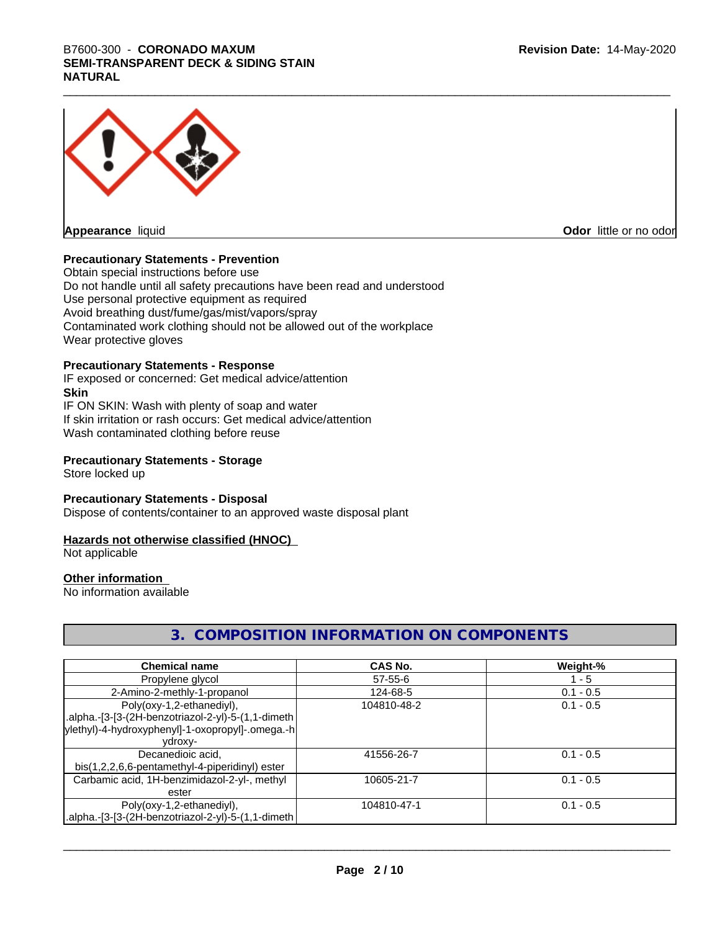# \_\_\_\_\_\_\_\_\_\_\_\_\_\_\_\_\_\_\_\_\_\_\_\_\_\_\_\_\_\_\_\_\_\_\_\_\_\_\_\_\_\_\_\_\_\_\_\_\_\_\_\_\_\_\_\_\_\_\_\_\_\_\_\_\_\_\_\_\_\_\_\_\_\_\_\_\_\_\_\_\_\_\_\_\_\_\_\_\_\_\_\_\_ B7600-300 - **CORONADO MAXUM SEMI-TRANSPARENT DECK & SIDING STAIN NATURAL**



**Odor** little or no odor

#### **Precautionary Statements - Prevention**

Obtain special instructions before use Do not handle until all safety precautions have been read and understood Use personal protective equipment as required Avoid breathing dust/fume/gas/mist/vapors/spray Contaminated work clothing should not be allowed out of the workplace Wear protective gloves

#### **Precautionary Statements - Response**

IF exposed or concerned: Get medical advice/attention **Skin** IF ON SKIN: Wash with plenty of soap and water

If skin irritation or rash occurs: Get medical advice/attention Wash contaminated clothing before reuse

#### **Precautionary Statements - Storage**

Store locked up

#### **Precautionary Statements - Disposal**

Dispose of contents/container to an approved waste disposal plant

#### **Hazards not otherwise classified (HNOC)**

Not applicable

## **Other information**

No information available

## **3. COMPOSITION INFORMATION ON COMPONENTS**

| <b>Chemical name</b>                               | CAS No.     | Weight-%    |
|----------------------------------------------------|-------------|-------------|
| Propylene glycol                                   | 57-55-6     | $1 - 5$     |
| 2-Amino-2-methly-1-propanol                        | 124-68-5    | $0.1 - 0.5$ |
| Poly(oxy-1,2-ethanediyl),                          | 104810-48-2 | $0.1 - 0.5$ |
| alpha.-[3-[3-(2H-benzotriazol-2-yl)-5-(1,1-dimeth. |             |             |
| ylethyl)-4-hydroxyphenyl]-1-oxopropyl]-.omega.-h   |             |             |
| vdroxv-                                            |             |             |
| Decanedioic acid,                                  | 41556-26-7  | $0.1 - 0.5$ |
| bis(1,2,2,6,6-pentamethyl-4-piperidinyl) ester     |             |             |
| Carbamic acid, 1H-benzimidazol-2-yl-, methyl       | 10605-21-7  | $0.1 - 0.5$ |
| ester                                              |             |             |
| Poly(oxy-1,2-ethanediyl),                          | 104810-47-1 | $0.1 - 0.5$ |
| alpha.-[3-[3-(2H-benzotriazol-2-yl)-5-(1,1-dimeth. |             |             |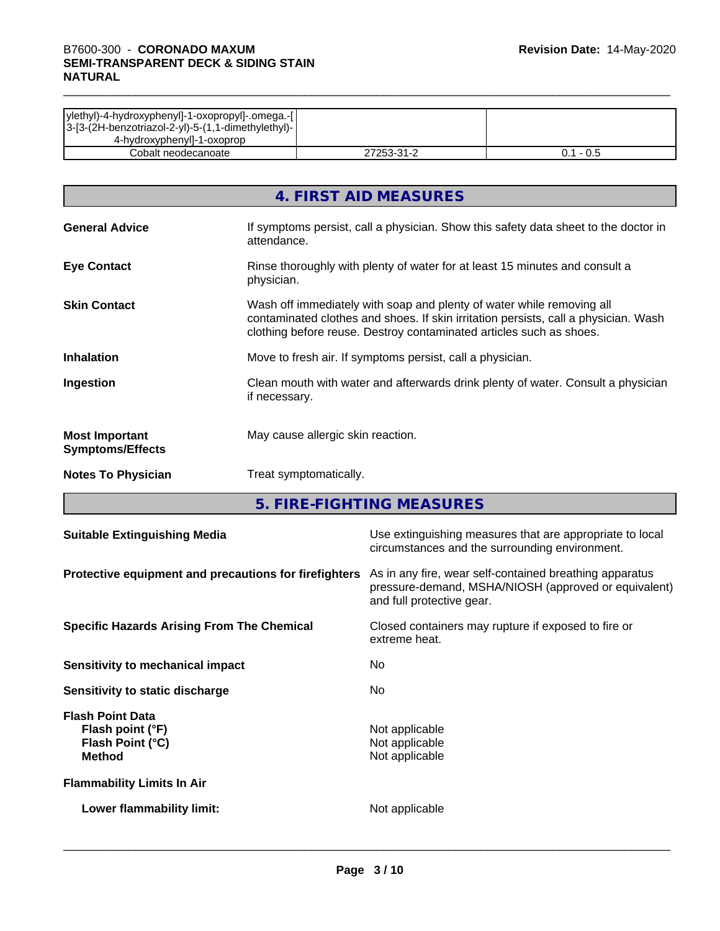| ylethyl)-4-hydroxyphenyl]-1-oxopropyl]-.omega.-[ <br> 3-[3-(2H-benzotriazol-2-yl)-5-(1,1-dimethylethyl)- |            |             |
|----------------------------------------------------------------------------------------------------------|------------|-------------|
| 4-hydroxyphenyl]-1-oxoprop                                                                               |            |             |
| Cobalt neodecanoate                                                                                      | 27253-31-2 | $0.1 - 0.5$ |

|                                                  | 4. FIRST AID MEASURES                                                                                                                                                                                                               |
|--------------------------------------------------|-------------------------------------------------------------------------------------------------------------------------------------------------------------------------------------------------------------------------------------|
| <b>General Advice</b>                            | If symptoms persist, call a physician. Show this safety data sheet to the doctor in<br>attendance.                                                                                                                                  |
| <b>Eye Contact</b>                               | Rinse thoroughly with plenty of water for at least 15 minutes and consult a<br>physician.                                                                                                                                           |
| <b>Skin Contact</b>                              | Wash off immediately with soap and plenty of water while removing all<br>contaminated clothes and shoes. If skin irritation persists, call a physician. Wash<br>clothing before reuse. Destroy contaminated articles such as shoes. |
| <b>Inhalation</b>                                | Move to fresh air. If symptoms persist, call a physician.                                                                                                                                                                           |
| Ingestion                                        | Clean mouth with water and afterwards drink plenty of water. Consult a physician<br>if necessary.                                                                                                                                   |
| <b>Most Important</b><br><b>Symptoms/Effects</b> | May cause allergic skin reaction.                                                                                                                                                                                                   |
| <b>Notes To Physician</b>                        | Treat symptomatically.                                                                                                                                                                                                              |

**5. FIRE-FIGHTING MEASURES**

| <b>Suitable Extinguishing Media</b>                                              | Use extinguishing measures that are appropriate to local<br>circumstances and the surrounding environment.                                   |
|----------------------------------------------------------------------------------|----------------------------------------------------------------------------------------------------------------------------------------------|
| Protective equipment and precautions for firefighters                            | As in any fire, wear self-contained breathing apparatus<br>pressure-demand, MSHA/NIOSH (approved or equivalent)<br>and full protective gear. |
| <b>Specific Hazards Arising From The Chemical</b>                                | Closed containers may rupture if exposed to fire or<br>extreme heat.                                                                         |
| Sensitivity to mechanical impact                                                 | No.                                                                                                                                          |
| Sensitivity to static discharge                                                  | No.                                                                                                                                          |
| <b>Flash Point Data</b><br>Flash point (°F)<br>Flash Point (°C)<br><b>Method</b> | Not applicable<br>Not applicable<br>Not applicable                                                                                           |
| <b>Flammability Limits In Air</b>                                                |                                                                                                                                              |
| Lower flammability limit:                                                        | Not applicable                                                                                                                               |
|                                                                                  |                                                                                                                                              |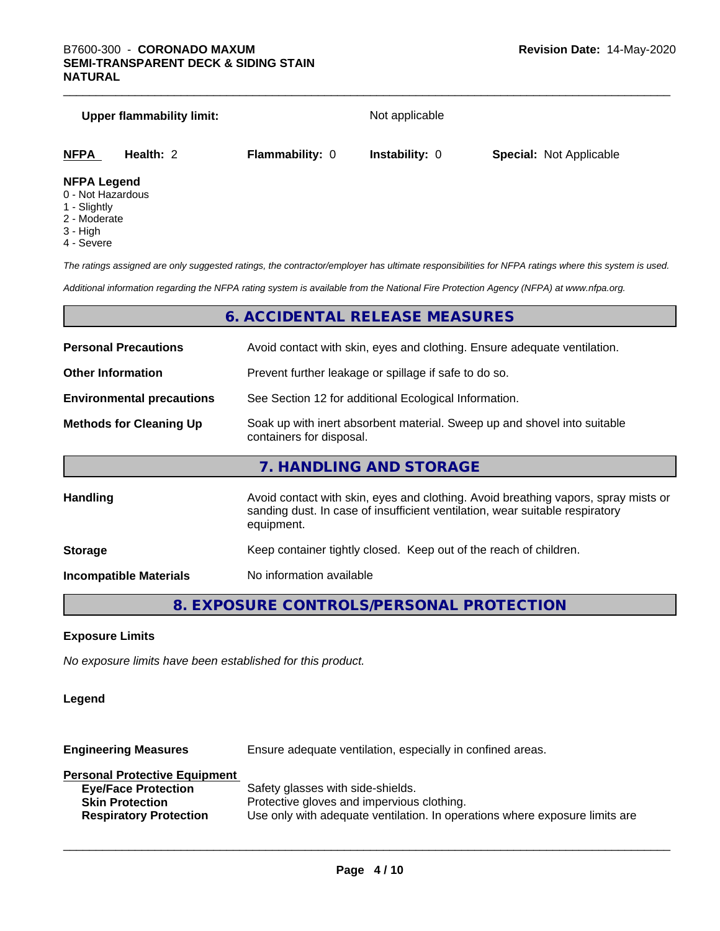|                                         | <b>Upper flammability limit:</b> |                        | Not applicable        |                                |
|-----------------------------------------|----------------------------------|------------------------|-----------------------|--------------------------------|
| <b>NFPA</b>                             | Health: 2                        | <b>Flammability: 0</b> | <b>Instability: 0</b> | <b>Special: Not Applicable</b> |
| <b>NFPA Legend</b><br>0 - Not Hazardous |                                  |                        |                       |                                |

- 
- 1 Slightly
- 2 Moderate
- 3 High
- 4 Severe

*The ratings assigned are only suggested ratings, the contractor/employer has ultimate responsibilities for NFPA ratings where this system is used.*

*Additional information regarding the NFPA rating system is available from the National Fire Protection Agency (NFPA) at www.nfpa.org.*

#### **6. ACCIDENTAL RELEASE MEASURES**

| <b>Personal Precautions</b>      | Avoid contact with skin, eyes and clothing. Ensure adequate ventilation.                                                                                                         |  |  |
|----------------------------------|----------------------------------------------------------------------------------------------------------------------------------------------------------------------------------|--|--|
| <b>Other Information</b>         | Prevent further leakage or spillage if safe to do so.                                                                                                                            |  |  |
| <b>Environmental precautions</b> | See Section 12 for additional Ecological Information.                                                                                                                            |  |  |
| <b>Methods for Cleaning Up</b>   | Soak up with inert absorbent material. Sweep up and shovel into suitable<br>containers for disposal.                                                                             |  |  |
|                                  | 7. HANDLING AND STORAGE                                                                                                                                                          |  |  |
| Handling                         | Avoid contact with skin, eyes and clothing. Avoid breathing vapors, spray mists or<br>sanding dust. In case of insufficient ventilation, wear suitable respiratory<br>equipment. |  |  |
| <b>Storage</b>                   | Keep container tightly closed. Keep out of the reach of children.                                                                                                                |  |  |
| <b>Incompatible Materials</b>    | No information available                                                                                                                                                         |  |  |
|                                  |                                                                                                                                                                                  |  |  |

**8. EXPOSURE CONTROLS/PERSONAL PROTECTION**

#### **Exposure Limits**

*No exposure limits have been established for this product.*

#### **Legend**

**Engineering Measures** Ensure adequate ventilation, especially in confined areas. **Personal Protective Equipment Eye/Face Protection** Safety glasses with side-shields. **Skin Protection** Protective gloves and impervious clothing. **Respiratory Protection** Use only with adequate ventilation. In operations where exposure limits are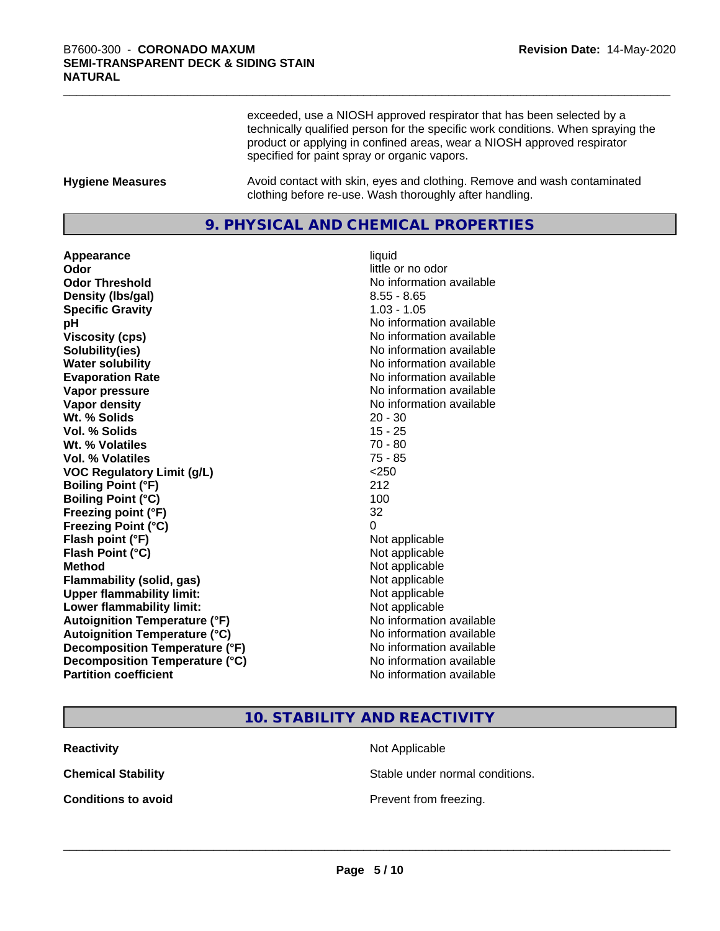exceeded, use a NIOSH approved respirator that has been selected by a technically qualified person for the specific work conditions. When spraying the product or applying in confined areas, wear a NIOSH approved respirator specified for paint spray or organic vapors.

**Hygiene Measures** Avoid contact with skin, eyes and clothing. Remove and wash contaminated clothing before re-use. Wash thoroughly after handling.

#### **9. PHYSICAL AND CHEMICAL PROPERTIES**

**Appearance** liquid **Odor** little or no odor **Odor Threshold No information available No information available Density (Ibs/gal)** 8.55 - 8.65<br> **Specific Gravity** 8.55 - 8.65 **Specific Gravity pH pH**  $\blacksquare$ **Viscosity (cps)** No information available **Solubility(ies)** No information available **Water solubility** No information available **Evaporation Rate No information available No information available Vapor pressure** No information available in the No information available **Vapor density No information available No information available Wt.** % Solids 20 - 30 **Vol. % Solids** 15 - 25 **Wt. % Volatiles** 70 - 80 **Vol. % Volatiles** 75 - 85 **VOC Regulatory Limit (g/L)** <250 **Boiling Point (°F)** 212 **Boiling Point (°C)** 100 **Freezing point (°F)** 32 **Freezing Point (°C)** 0 **Flash point (°F)** Not applicable **Flash Point (°C)** Not applicable **Method** Not applicable **Flammability (solid, gas)** Not applicable **Upper flammability limit:** Not applicable **Lower flammability limit:**<br> **Autoignition Temperature (°F)** Not applicable have not available **Autoignition Temperature (°F) Autoignition Temperature (°C)**<br> **Decomposition Temperature (°F)** No information available **Decomposition Temperature (°F) Decomposition Temperature (°C)**<br> **Partition coefficient**<br> **Partition coefficient**<br> **No** information available

**No information available** 

#### **10. STABILITY AND REACTIVITY**

| <b>Reactivity</b>          |  |
|----------------------------|--|
| <b>Chemical Stability</b>  |  |
| <b>Conditions to avoid</b> |  |

**Not Applicable** 

Stable under normal conditions.

**Prevent from freezing.**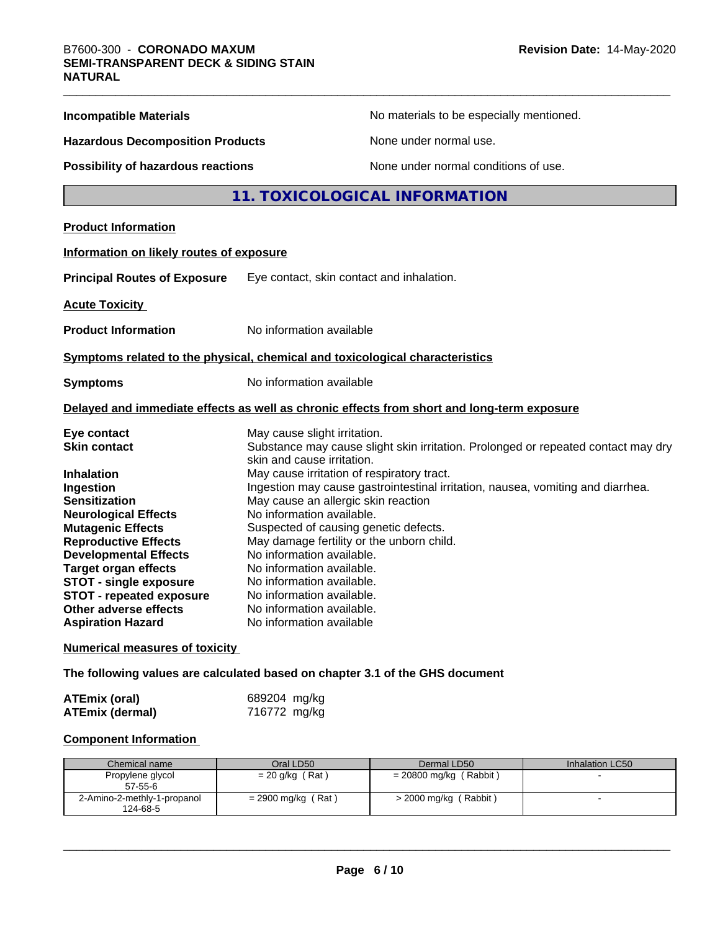| <b>Incompatible Materials</b>                                                                                                                                                        | No materials to be especially mentioned.                                                                                                                                                                                                                                                |
|--------------------------------------------------------------------------------------------------------------------------------------------------------------------------------------|-----------------------------------------------------------------------------------------------------------------------------------------------------------------------------------------------------------------------------------------------------------------------------------------|
| <b>Hazardous Decomposition Products</b>                                                                                                                                              | None under normal use.                                                                                                                                                                                                                                                                  |
| <b>Possibility of hazardous reactions</b>                                                                                                                                            | None under normal conditions of use.                                                                                                                                                                                                                                                    |
|                                                                                                                                                                                      | 11. TOXICOLOGICAL INFORMATION                                                                                                                                                                                                                                                           |
| <b>Product Information</b>                                                                                                                                                           |                                                                                                                                                                                                                                                                                         |
| Information on likely routes of exposure                                                                                                                                             |                                                                                                                                                                                                                                                                                         |
| <b>Principal Routes of Exposure</b>                                                                                                                                                  | Eye contact, skin contact and inhalation.                                                                                                                                                                                                                                               |
| <b>Acute Toxicity</b>                                                                                                                                                                |                                                                                                                                                                                                                                                                                         |
| <b>Product Information</b>                                                                                                                                                           | No information available                                                                                                                                                                                                                                                                |
|                                                                                                                                                                                      | Symptoms related to the physical, chemical and toxicological characteristics                                                                                                                                                                                                            |
| No information available<br><b>Symptoms</b>                                                                                                                                          |                                                                                                                                                                                                                                                                                         |
|                                                                                                                                                                                      | Delayed and immediate effects as well as chronic effects from short and long-term exposure                                                                                                                                                                                              |
| Eye contact<br><b>Skin contact</b>                                                                                                                                                   | May cause slight irritation.<br>Substance may cause slight skin irritation. Prolonged or repeated contact may dry<br>skin and cause irritation.                                                                                                                                         |
| <b>Inhalation</b><br>Ingestion<br><b>Sensitization</b><br><b>Neurological Effects</b><br><b>Mutagenic Effects</b><br><b>Reproductive Effects</b>                                     | May cause irritation of respiratory tract.<br>Ingestion may cause gastrointestinal irritation, nausea, vomiting and diarrhea.<br>May cause an allergic skin reaction<br>No information available.<br>Suspected of causing genetic defects.<br>May damage fertility or the unborn child. |
| <b>Developmental Effects</b><br><b>Target organ effects</b><br><b>STOT - single exposure</b><br><b>STOT - repeated exposure</b><br>Other adverse effects<br><b>Aspiration Hazard</b> | No information available.<br>No information available.<br>No information available.<br>No information available.<br>No information available.<br>No information available                                                                                                               |
| <b>Numerical measures of toxicity</b>                                                                                                                                                |                                                                                                                                                                                                                                                                                         |

**The following values are calculated based on chapter 3.1 of the GHS document**

| ATEmix (oral)          | 689204 mg/kg |
|------------------------|--------------|
| <b>ATEmix (dermal)</b> | 716772 mg/kg |

#### **Component Information**

| Chemical name               | Oral LD50            | Dermal LD50             | Inhalation LC50 |
|-----------------------------|----------------------|-------------------------|-----------------|
| Propylene glycol            | $= 20$ g/kg (Rat)    | = 20800 mg/kg (Rabbit)  |                 |
| $57 - 55 - 6$               |                      |                         |                 |
| 2-Amino-2-methly-1-propanol | $= 2900$ mg/kg (Rat) | $>$ 2000 mg/kg (Rabbit) |                 |
| 124-68-5                    |                      |                         |                 |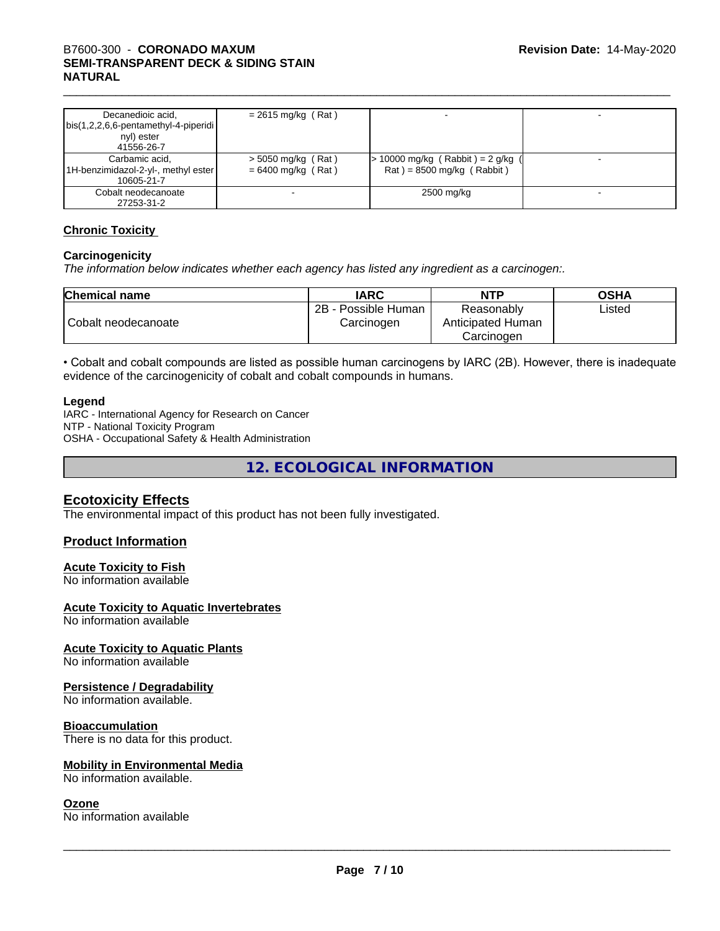# \_\_\_\_\_\_\_\_\_\_\_\_\_\_\_\_\_\_\_\_\_\_\_\_\_\_\_\_\_\_\_\_\_\_\_\_\_\_\_\_\_\_\_\_\_\_\_\_\_\_\_\_\_\_\_\_\_\_\_\_\_\_\_\_\_\_\_\_\_\_\_\_\_\_\_\_\_\_\_\_\_\_\_\_\_\_\_\_\_\_\_\_\_ B7600-300 - **CORONADO MAXUM SEMI-TRANSPARENT DECK & SIDING STAIN NATURAL**

| Decanedioic acid,<br>$\vert$ bis(1,2,2,6,6-pentamethyl-4-piperidi $\vert$<br>nyl) ester<br>41556-26-7 | $= 2615$ mg/kg (Rat)                         |                                                                    |  |
|-------------------------------------------------------------------------------------------------------|----------------------------------------------|--------------------------------------------------------------------|--|
| Carbamic acid,<br>1H-benzimidazol-2-yl-, methyl ester  <br>10605-21-7                                 | $>$ 5050 mg/kg (Rat)<br>$= 6400$ mg/kg (Rat) | $> 10000$ mg/kg (Rabbit) = 2 g/kg (<br>$Rat$ = 8500 mg/kg (Rabbit) |  |
| Cobalt neodecanoate<br>27253-31-2                                                                     |                                              | 2500 mg/kg                                                         |  |

#### **Chronic Toxicity**

#### **Carcinogenicity**

*The information below indicateswhether each agency has listed any ingredient as a carcinogen:.*

| <b>Chemical name</b> | <b>IARC</b>                              | <b>NTP</b>                                    | <b>OSHA</b> |
|----------------------|------------------------------------------|-----------------------------------------------|-------------|
| Cobalt neodecanoate  | $2B -$<br>- Possible Human<br>Carcinogen | Reasonably<br>Anticipated Human<br>Carcinogen | Listed      |

• Cobalt and cobalt compounds are listed as possible human carcinogens by IARC (2B). However, there is inadequate evidence of the carcinogenicity of cobalt and cobalt compounds in humans.

#### **Legend**

IARC - International Agency for Research on Cancer NTP - National Toxicity Program OSHA - Occupational Safety & Health Administration

**12. ECOLOGICAL INFORMATION**

## **Ecotoxicity Effects**

The environmental impact of this product has not been fully investigated.

#### **Product Information**

#### **Acute Toxicity to Fish**

No information available

#### **Acute Toxicity to Aquatic Invertebrates**

No information available

#### **Acute Toxicity to Aquatic Plants**

No information available

#### **Persistence / Degradability**

No information available.

#### **Bioaccumulation**

There is no data for this product.

#### **Mobility in Environmental Media**

No information available.

#### **Ozone**

No information available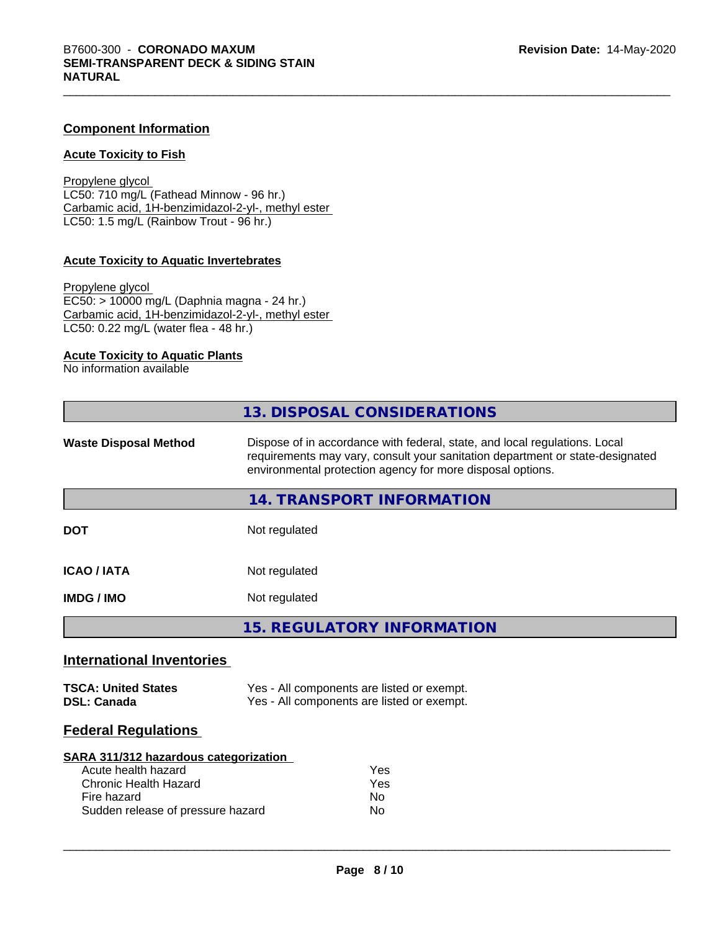#### **Component Information**

#### **Acute Toxicity to Fish**

Propylene glycol LC50: 710 mg/L (Fathead Minnow - 96 hr.) Carbamic acid, 1H-benzimidazol-2-yl-, methyl ester LC50: 1.5 mg/L (Rainbow Trout - 96 hr.)

#### **Acute Toxicity to Aquatic Invertebrates**

Propylene glycol EC50: > 10000 mg/L (Daphnia magna - 24 hr.) Carbamic acid, 1H-benzimidazol-2-yl-, methyl ester LC50: 0.22 mg/L (water flea - 48 hr.)

#### **Acute Toxicity to Aquatic Plants**

No information available

|                                                                                                             | 13. DISPOSAL CONSIDERATIONS                                                                                                                                                                                               |
|-------------------------------------------------------------------------------------------------------------|---------------------------------------------------------------------------------------------------------------------------------------------------------------------------------------------------------------------------|
| <b>Waste Disposal Method</b>                                                                                | Dispose of in accordance with federal, state, and local regulations. Local<br>requirements may vary, consult your sanitation department or state-designated<br>environmental protection agency for more disposal options. |
|                                                                                                             | <b>14. TRANSPORT INFORMATION</b>                                                                                                                                                                                          |
| <b>DOT</b>                                                                                                  | Not regulated                                                                                                                                                                                                             |
| <b>ICAO / IATA</b>                                                                                          | Not regulated                                                                                                                                                                                                             |
| <b>IMDG / IMO</b>                                                                                           | Not regulated                                                                                                                                                                                                             |
|                                                                                                             | <b>15. REGULATORY INFORMATION</b>                                                                                                                                                                                         |
| <b>International Inventories</b>                                                                            |                                                                                                                                                                                                                           |
| <b>TSCA: United States</b><br><b>DSL: Canada</b>                                                            | Yes - All components are listed or exempt.<br>Yes - All components are listed or exempt.                                                                                                                                  |
| <b>Federal Regulations</b>                                                                                  |                                                                                                                                                                                                                           |
| <b>SARA 311/312 hazardous categorization</b><br>Acute health hazard<br>Chronic Health Hazard<br>Fire hazard | Yes<br>Yes<br>No.                                                                                                                                                                                                         |
| Sudden release of pressure hazard                                                                           | No.                                                                                                                                                                                                                       |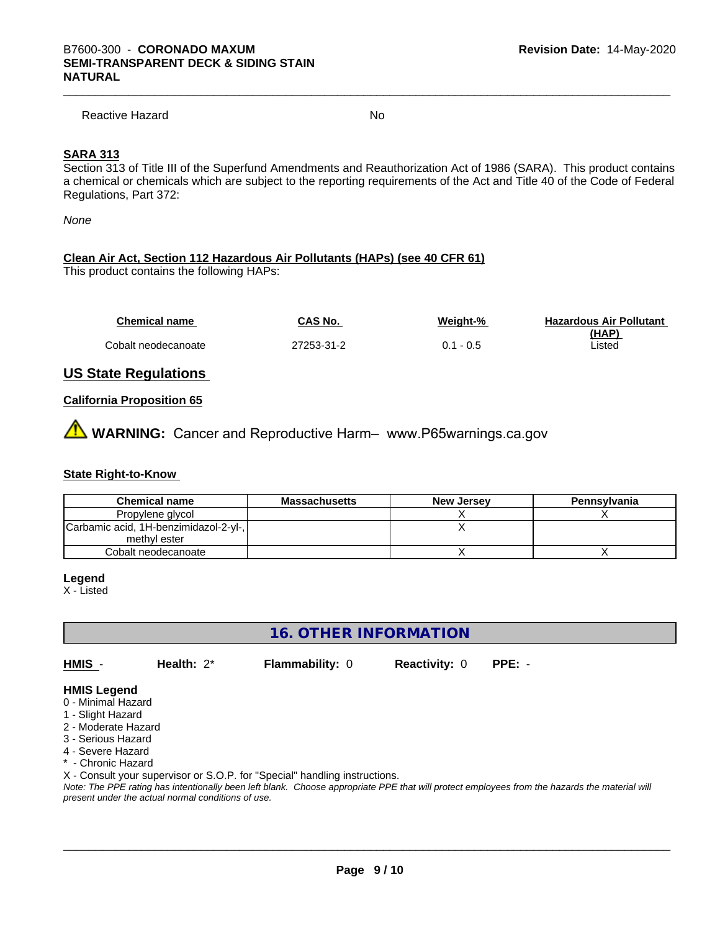Reactive Hazard No

#### **SARA 313**

Section 313 of Title III of the Superfund Amendments and Reauthorization Act of 1986 (SARA). This product contains a chemical or chemicals which are subject to the reporting requirements of the Act and Title 40 of the Code of Federal Regulations, Part 372:

*None*

#### **Clean Air Act,Section 112 Hazardous Air Pollutants (HAPs) (see 40 CFR 61)**

This product contains the following HAPs:

| <b>Chemical name</b> | CAS No.    | Weight-%     | <b>Hazardous Air Pollutant</b> |
|----------------------|------------|--------------|--------------------------------|
|                      |            |              | (HAP)                          |
| Cobalt neodecanoate  | 27253-31-2 | - 0.5<br>0.1 | Listed                         |

#### **US State Regulations**

#### **California Proposition 65**

**WARNING:** Cancer and Reproductive Harm– www.P65warnings.ca.gov

#### **State Right-to-Know**

| <b>Chemical name</b>                  | <b>Massachusetts</b> | <b>New Jersey</b> | Pennsylvania |
|---------------------------------------|----------------------|-------------------|--------------|
| Propylene glycol                      |                      |                   |              |
| Carbamic acid, 1H-benzimidazol-2-yl-, |                      |                   |              |
| methyl ester                          |                      |                   |              |
| Cobalt neodecanoate                   |                      |                   |              |

#### **Legend**

X - Listed

**16. OTHER INFORMATION**

**HMIS** - **Health:** 2\* **Flammability:** 0 **Reactivity:** 0 **PPE:** -

- **HMIS Legend**
- 0 Minimal Hazard
- 1 Slight Hazard
- 2 Moderate Hazard
- 3 Serious Hazard
- 4 Severe Hazard
- \* Chronic Hazard

X - Consult your supervisor or S.O.P. for "Special" handling instructions.

*Note: The PPE rating has intentionally been left blank. Choose appropriate PPE that will protect employees from the hazards the material will present under the actual normal conditions of use.*